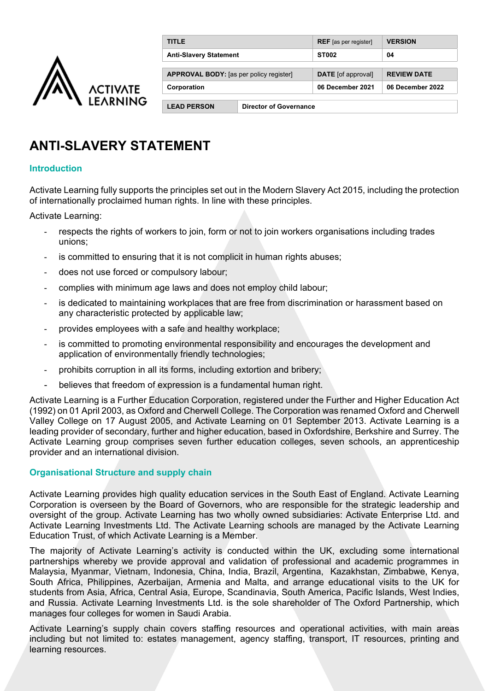

| <b>TITLE</b>                                   |                               | <b>REF</b> [as per register] | <b>VERSION</b>     |
|------------------------------------------------|-------------------------------|------------------------------|--------------------|
| <b>Anti-Slavery Statement</b>                  |                               | <b>ST002</b>                 | 04                 |
|                                                |                               |                              |                    |
| <b>APPROVAL BODY:</b> [as per policy register] |                               | <b>DATE</b> [of approval]    | <b>REVIEW DATE</b> |
| Corporation                                    |                               | 06 December 2021             | 06 December 2022   |
|                                                |                               |                              |                    |
| <b>LEAD PERSON</b>                             | <b>Director of Governance</b> |                              |                    |

# **ANTI-SLAVERY STATEMENT**

## **Introduction**

Activate Learning fully supports the principles set out in the Modern Slavery Act 2015, including the protection of internationally proclaimed human rights. In line with these principles.

Activate Learning:

- respects the rights of workers to join, form or not to join workers organisations including trades unions;
- is committed to ensuring that it is not complicit in human rights abuses;
- does not use forced or compulsory labour;
- complies with minimum age laws and does not employ child labour;
- is dedicated to maintaining workplaces that are free from discrimination or harassment based on any characteristic protected by applicable law;
- provides employees with a safe and healthy workplace;
- is committed to promoting environmental responsibility and encourages the development and application of environmentally friendly technologies;
- prohibits corruption in all its forms, including extortion and bribery;
- believes that freedom of expression is a fundamental human right.

Activate Learning is a Further Education Corporation, registered under the Further and Higher Education Act (1992) on 01 April 2003, as Oxford and Cherwell College. The Corporation was renamed Oxford and Cherwell Valley College on 17 August 2005, and Activate Learning on 01 September 2013. Activate Learning is a leading provider of secondary, further and higher education, based in Oxfordshire, Berkshire and Surrey. The Activate Learning group comprises seven further education colleges, seven schools, an apprenticeship provider and an international division.

#### **Organisational Structure and supply chain**

Activate Learning provides high quality education services in the South East of England. Activate Learning Corporation is overseen by the Board of Governors, who are responsible for the strategic leadership and oversight of the group. Activate Learning has two wholly owned subsidiaries: Activate Enterprise Ltd. and Activate Learning Investments Ltd. The Activate Learning schools are managed by the Activate Learning Education Trust, of which Activate Learning is a Member.

The majority of Activate Learning's activity is conducted within the UK, excluding some international partnerships whereby we provide approval and validation of professional and academic programmes in Malaysia, Myanmar, Vietnam, Indonesia, China, India, Brazil, Argentina, Kazakhstan, Zimbabwe, Kenya, South Africa, Philippines, Azerbaijan, Armenia and Malta, and arrange educational visits to the UK for students from Asia, Africa, Central Asia, Europe, Scandinavia, South America, Pacific Islands, West Indies, and Russia. Activate Learning Investments Ltd. is the sole shareholder of The Oxford Partnership, which manages four colleges for women in Saudi Arabia.

Activate Learning's supply chain covers staffing resources and operational activities, with main areas including but not limited to: estates management, agency staffing, transport, IT resources, printing and learning resources.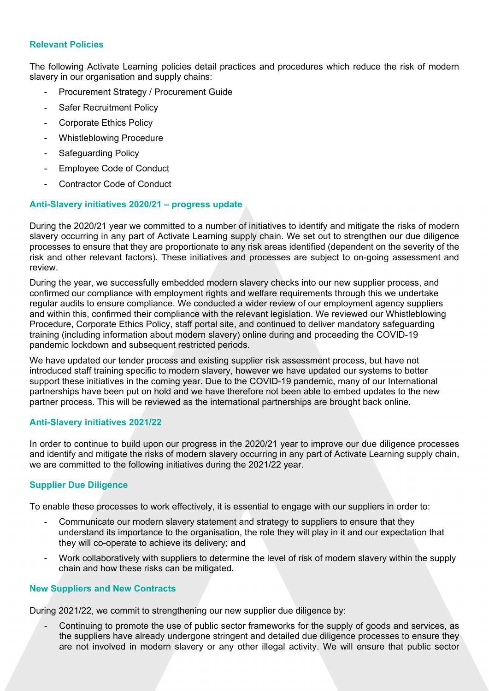## **Relevant Policies**

The following Activate Learning policies detail practices and procedures which reduce the risk of modern slavery in our organisation and supply chains:

- Procurement Strategy / Procurement Guide
- Safer Recruitment Policy
- Corporate Ethics Policy
- Whistleblowing Procedure
- Safeguarding Policy
- Employee Code of Conduct
- Contractor Code of Conduct

## **Anti-Slavery initiatives 2020/21 – progress update**

During the 2020/21 year we committed to a number of initiatives to identify and mitigate the risks of modern slavery occurring in any part of Activate Learning supply chain. We set out to strengthen our due diligence processes to ensure that they are proportionate to any risk areas identified (dependent on the severity of the risk and other relevant factors). These initiatives and processes are subject to on-going assessment and review.

During the year, we successfully embedded modern slavery checks into our new supplier process, and confirmed our compliance with employment rights and welfare requirements through this we undertake regular audits to ensure compliance. We conducted a wider review of our employment agency suppliers and within this, confirmed their compliance with the relevant legislation. We reviewed our Whistleblowing Procedure, Corporate Ethics Policy, staff portal site, and continued to deliver mandatory safeguarding training (including information about modern slavery) online during and proceeding the COVID-19 pandemic lockdown and subsequent restricted periods.

We have updated our tender process and existing supplier risk assessment process, but have not introduced staff training specific to modern slavery, however we have updated our systems to better support these initiatives in the coming year. Due to the COVID-19 pandemic, many of our International partnerships have been put on hold and we have therefore not been able to embed updates to the new partner process. This will be reviewed as the international partnerships are brought back online.

## **Anti-Slavery initiatives 2021/22**

In order to continue to build upon our progress in the 2020/21 year to improve our due diligence processes and identify and mitigate the risks of modern slavery occurring in any part of Activate Learning supply chain, we are committed to the following initiatives during the 2021/22 year.

# **Supplier Due Diligence**

To enable these processes to work effectively, it is essential to engage with our suppliers in order to:

- Communicate our modern slavery statement and strategy to suppliers to ensure that they understand its importance to the organisation, the role they will play in it and our expectation that they will co-operate to achieve its delivery; and
- Work collaboratively with suppliers to determine the level of risk of modern slavery within the supply chain and how these risks can be mitigated.

## **New Suppliers and New Contracts**

During 2021/22, we commit to strengthening our new supplier due diligence by:

Continuing to promote the use of public sector frameworks for the supply of goods and services, as the suppliers have already undergone stringent and detailed due diligence processes to ensure they are not involved in modern slavery or any other illegal activity. We will ensure that public sector